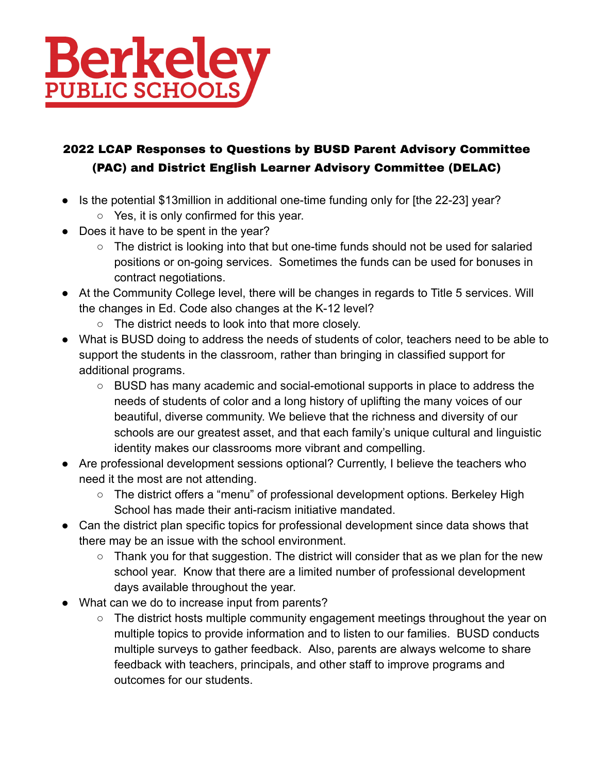

## 2022 LCAP Responses to Questions by BUSD Parent Advisory Committee (PAC) and District English Learner Advisory Committee (DELAC)

- Is the potential \$13million in additional one-time funding only for [the 22-23] year?
	- Yes, it is only confirmed for this year.
- Does it have to be spent in the year?
	- The district is looking into that but one-time funds should not be used for salaried positions or on-going services. Sometimes the funds can be used for bonuses in contract negotiations.
- At the Community College level, there will be changes in regards to Title 5 services. Will the changes in Ed. Code also changes at the K-12 level?
	- The district needs to look into that more closely.
- What is BUSD doing to address the needs of students of color, teachers need to be able to support the students in the classroom, rather than bringing in classified support for additional programs.
	- BUSD has many academic and social-emotional supports in place to address the needs of students of color and a long history of uplifting the many voices of our beautiful, diverse community. We believe that the richness and diversity of our schools are our greatest asset, and that each family's unique cultural and linguistic identity makes our classrooms more vibrant and compelling.
- Are professional development sessions optional? Currently, I believe the teachers who need it the most are not attending.
	- The district offers a "menu" of professional development options. Berkeley High School has made their anti-racism initiative mandated.
- Can the district plan specific topics for professional development since data shows that there may be an issue with the school environment.
	- $\circ$  Thank you for that suggestion. The district will consider that as we plan for the new school year. Know that there are a limited number of professional development days available throughout the year.
- What can we do to increase input from parents?
	- The district hosts multiple community engagement meetings throughout the year on multiple topics to provide information and to listen to our families. BUSD conducts multiple surveys to gather feedback. Also, parents are always welcome to share feedback with teachers, principals, and other staff to improve programs and outcomes for our students.